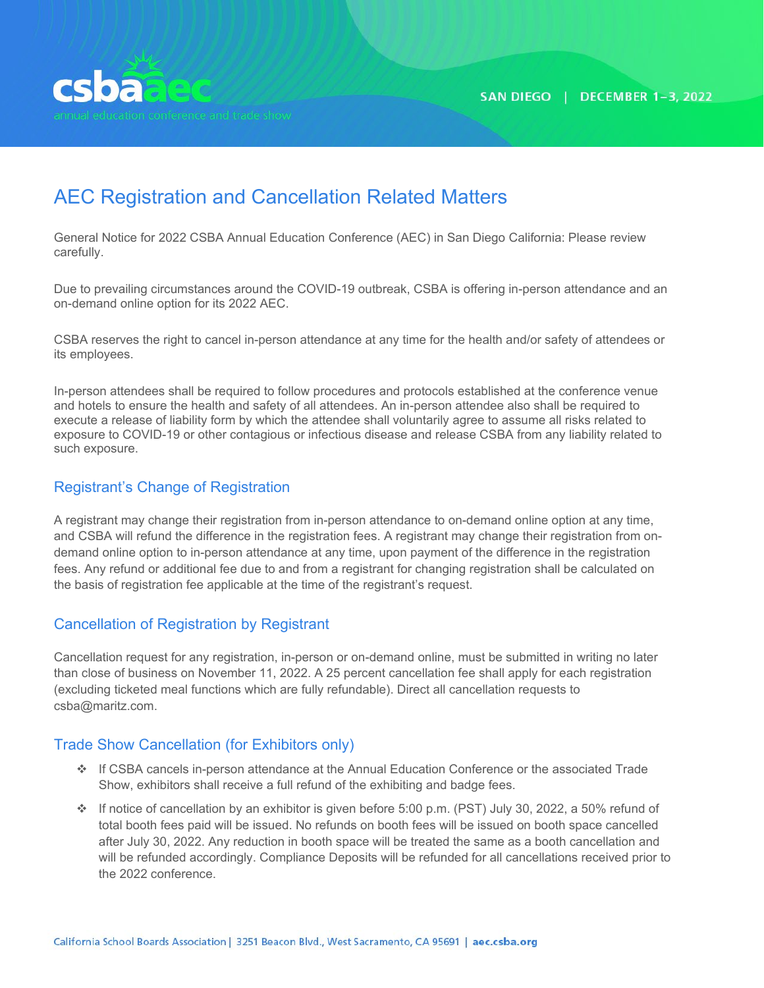

# AEC Registration and Cancellation Related Matters

General Notice for 2022 CSBA Annual Education Conference (AEC) in San Diego California: Please review carefully.

Due to prevailing circumstances around the COVID-19 outbreak, CSBA is offering in-person attendance and an on-demand online option for its 2022 AEC.

CSBA reserves the right to cancel in-person attendance at any time for the health and/or safety of attendees or its employees.

In-person attendees shall be required to follow procedures and protocols established at the conference venue and hotels to ensure the health and safety of all attendees. An in-person attendee also shall be required to execute a release of liability form by which the attendee shall voluntarily agree to assume all risks related to exposure to COVID-19 or other contagious or infectious disease and release CSBA from any liability related to such exposure.

## Registrant's Change of Registration

A registrant may change their registration from in-person attendance to on-demand online option at any time, and CSBA will refund the difference in the registration fees. A registrant may change their registration from ondemand online option to in-person attendance at any time, upon payment of the difference in the registration fees. Any refund or additional fee due to and from a registrant for changing registration shall be calculated on the basis of registration fee applicable at the time of the registrant's request.

### Cancellation of Registration by Registrant

Cancellation request for any registration, in-person or on-demand online, must be submitted in writing no later than close of business on November 11, 2022. A 25 percent cancellation fee shall apply for each registration (excluding ticketed meal functions which are fully refundable). Direct all cancellation requests to csba@maritz.com.

### Trade Show Cancellation (for Exhibitors only)

- If CSBA cancels in-person attendance at the Annual Education Conference or the associated Trade Show, exhibitors shall receive a full refund of the exhibiting and badge fees.
- $\cdot \cdot$  If notice of cancellation by an exhibitor is given before 5:00 p.m. (PST) July 30, 2022, a 50% refund of total booth fees paid will be issued. No refunds on booth fees will be issued on booth space cancelled after July 30, 2022. Any reduction in booth space will be treated the same as a booth cancellation and will be refunded accordingly. Compliance Deposits will be refunded for all cancellations received prior to the 2022 conference.